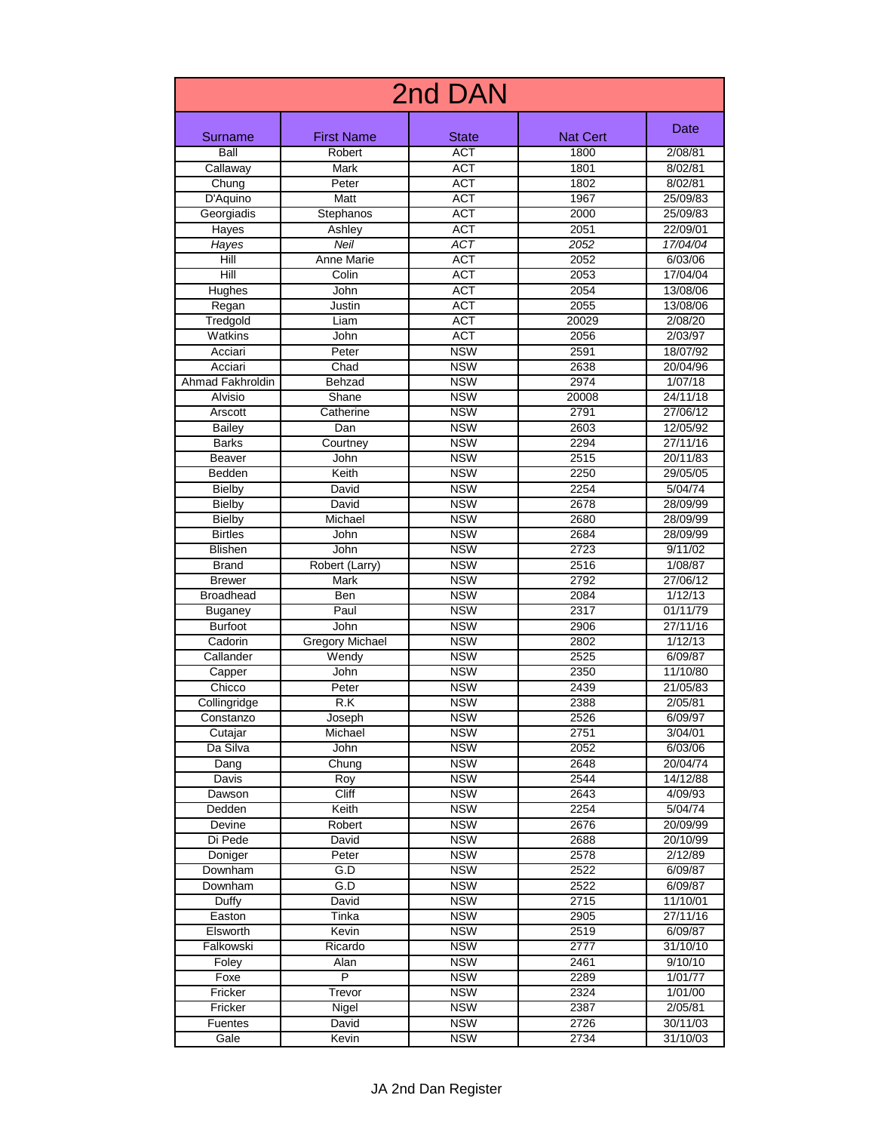| 2nd DAN          |                        |                  |          |          |
|------------------|------------------------|------------------|----------|----------|
| Surname          | <b>First Name</b>      | <b>State</b>     | Nat Cert | Date     |
| Ball             | Robert                 | <b>ACT</b>       | 1800     | 2/08/81  |
| Callaway         | <b>Mark</b>            | <b>ACT</b>       | 1801     | 8/02/81  |
| Chung            | Peter                  | <b>ACT</b>       | 1802     | 8/02/81  |
| D'Aquino         | Matt                   | <b>ACT</b>       | 1967     | 25/09/83 |
| Georgiadis       | Stephanos              | <b>ACT</b>       | 2000     | 25/09/83 |
| Hayes            | Ashley                 | <b>ACT</b>       | 2051     | 22/09/01 |
| Hayes            | Neil                   | $\overline{ACT}$ | 2052     | 17/04/04 |
| Hill             | <b>Anne Marie</b>      | <b>ACT</b>       | 2052     | 6/03/06  |
| Hill             | Colin                  | <b>ACT</b>       | 2053     | 17/04/04 |
| Hughes           | John                   | <b>ACT</b>       | 2054     | 13/08/06 |
| Regan            | Justin                 | <b>ACT</b>       | 2055     | 13/08/06 |
| Tredgold         | Liam                   | <b>ACT</b>       | 20029    | 2/08/20  |
| Watkins          | John                   | <b>ACT</b>       | 2056     | 2/03/97  |
| Acciari          | Peter                  | <b>NSW</b>       | 2591     | 18/07/92 |
| Acciari          | Chad                   | <b>NSW</b>       | 2638     | 20/04/96 |
| Ahmad Fakhroldin | Behzad                 | <b>NSW</b>       | 2974     | 1/07/18  |
| Alvisio          | Shane                  | <b>NSW</b>       | 20008    | 24/11/18 |
| Arscott          | Catherine              | <b>NSW</b>       | 2791     | 27/06/12 |
| <b>Bailey</b>    | Dan                    | <b>NSW</b>       | 2603     | 12/05/92 |
| <b>Barks</b>     | Courtney               | <b>NSW</b>       | 2294     | 27/11/16 |
| Beaver           | John                   | <b>NSW</b>       | 2515     | 20/11/83 |
| Bedden           | Keith                  | <b>NSW</b>       | 2250     | 29/05/05 |
| <b>Bielby</b>    | David                  | <b>NSW</b>       | 2254     | 5/04/74  |
| <b>Bielby</b>    | David                  | <b>NSW</b>       | 2678     | 28/09/99 |
| <b>Bielby</b>    | Michael                | <b>NSW</b>       | 2680     | 28/09/99 |
| <b>Birtles</b>   | John                   | <b>NSW</b>       | 2684     | 28/09/99 |
| Blishen          | John                   | <b>NSW</b>       | 2723     | 9/11/02  |
| <b>Brand</b>     | Robert (Larry)         | <b>NSW</b>       | 2516     | 1/08/87  |
| <b>Brewer</b>    | Mark                   | <b>NSW</b>       | 2792     | 27/06/12 |
| <b>Broadhead</b> | Ben                    | <b>NSW</b>       | 2084     | 1/12/13  |
| <b>Buganey</b>   | Paul                   | <b>NSW</b>       | 2317     | 01/11/79 |
| <b>Burfoot</b>   | John                   | <b>NSW</b>       | 2906     | 27/11/16 |
| Cadorin          | <b>Gregory Michael</b> | <b>NSW</b>       | 2802     | 1/12/13  |
| Callander        | Wendy                  | <b>NSW</b>       | 2525     | 6/09/87  |
| Capper           | John                   | <b>NSW</b>       | 2350     | 11/10/80 |
| Chicco           | Peter                  | <b>NSW</b>       | 2439     | 21/05/83 |
| Collingridge     | R.K                    | <b>NSW</b>       | 2388     | 2/05/81  |
| Constanzo        | Joseph                 | <b>NSW</b>       | 2526     | 6/09/97  |
| Cutajar          | Michael                | <b>NSW</b>       | 2751     | 3/04/01  |
| Da Silva         | John                   | <b>NSW</b>       | 2052     | 6/03/06  |
| Dang             | Chung                  | <b>NSW</b>       | 2648     | 20/04/74 |
| Davis            | Roy                    | <b>NSW</b>       | 2544     | 14/12/88 |
| Dawson           | Cliff                  | <b>NSW</b>       | 2643     | 4/09/93  |
| Dedden           | Keith                  | <b>NSW</b>       | 2254     | 5/04/74  |
| Devine           | Robert                 | <b>NSW</b>       | 2676     | 20/09/99 |
| Di Pede          | David                  | <b>NSW</b>       | 2688     | 20/10/99 |
| Doniger          | Peter                  | <b>NSW</b>       | 2578     | 2/12/89  |
| Downham          | G.D                    | <b>NSW</b>       | 2522     | 6/09/87  |
| Downham          | G.D                    | <b>NSW</b>       | 2522     | 6/09/87  |
| Duffy            | David                  | <b>NSW</b>       | 2715     | 11/10/01 |
| Easton           | Tinka                  | <b>NSW</b>       | 2905     | 27/11/16 |
| Elsworth         | Kevin                  | <b>NSW</b>       | 2519     | 6/09/87  |
| Falkowski        | Ricardo                | <b>NSW</b>       | 2777     | 31/10/10 |
| Foley            | Alan                   | <b>NSW</b>       | 2461     | 9/10/10  |
| Foxe             | $\overline{P}$         | <b>NSW</b>       | 2289     | 1/01/77  |
| Fricker          | Trevor                 | <b>NSW</b>       | 2324     | 1/01/00  |
| Fricker          | Nigel                  | <b>NSW</b>       | 2387     | 2/05/81  |
| <b>Fuentes</b>   | David                  | <b>NSW</b>       | 2726     | 30/11/03 |
| Gale             | Kevin                  | <b>NSW</b>       | 2734     | 31/10/03 |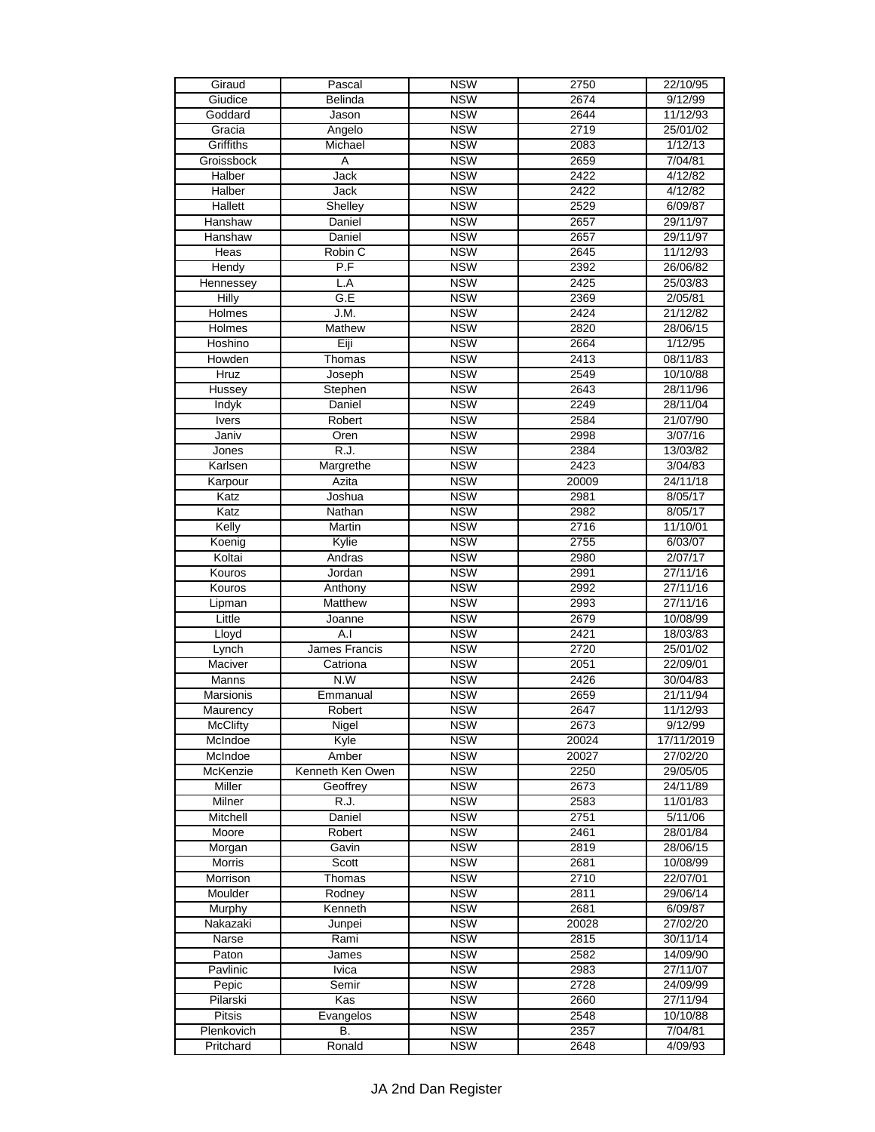| Giraud           | Pascal           | <b>NSW</b> | 2750  | 22/10/95   |
|------------------|------------------|------------|-------|------------|
| Giudice          | Belinda          | <b>NSW</b> | 2674  | 9/12/99    |
| Goddard          | Jason            | <b>NSW</b> | 2644  | 11/12/93   |
| Gracia           | Angelo           | <b>NSW</b> | 2719  | 25/01/02   |
| Griffiths        | Michael          | <b>NSW</b> | 2083  | 1/12/13    |
| Groissbock       | Ā                | <b>NSW</b> | 2659  | 7/04/81    |
| Halber           | Jack             | <b>NSW</b> | 2422  | 4/12/82    |
| <b>Halber</b>    | Jack             | <b>NSW</b> | 2422  | 4/12/82    |
|                  |                  | <b>NSW</b> | 2529  |            |
| Hallett          | Shelley          |            |       | 6/09/87    |
| Hanshaw          | Daniel           | <b>NSW</b> | 2657  | 29/11/97   |
| Hanshaw          | Daniel           | <b>NSW</b> | 2657  | 29/11/97   |
| Heas             | Robin C          | <b>NSW</b> | 2645  | 11/12/93   |
| Hendy            | P.F              | <b>NSW</b> | 2392  | 26/06/82   |
| Hennessey        | L.A              | <b>NSW</b> | 2425  | 25/03/83   |
| Hilly            | G.E              | <b>NSW</b> | 2369  | 2/05/81    |
| Holmes           | J.M.             | <b>NSW</b> | 2424  | 21/12/82   |
| Holmes           | Mathew           | <b>NSW</b> | 2820  | 28/06/15   |
| Hoshino          | Eiji             | <b>NSW</b> | 2664  | 1/12/95    |
| Howden           | Thomas           | <b>NSW</b> | 2413  | 08/11/83   |
| Hruz             | Joseph           | <b>NSW</b> | 2549  | 10/10/88   |
| Hussey           | Stephen          | <b>NSW</b> | 2643  | 28/11/96   |
| Indyk            | Daniel           | <b>NSW</b> | 2249  | 28/11/04   |
| <b>Ivers</b>     | Robert           | <b>NSW</b> | 2584  | 21/07/90   |
| Janiv            | Oren             | <b>NSW</b> | 2998  | 3/07/16    |
|                  | R.J.             | <b>NSW</b> | 2384  | 13/03/82   |
| Jones            |                  |            |       |            |
| Karlsen          | Margrethe        | <b>NSW</b> | 2423  | 3/04/83    |
| Karpour          | Azita            | <b>NSW</b> | 20009 | 24/11/18   |
| Katz             | Joshua           | <b>NSW</b> | 2981  | 8/05/17    |
| Katz             | Nathan           | <b>NSW</b> | 2982  | 8/05/17    |
| Kelly            | Martin           | <b>NSW</b> | 2716  | 11/10/01   |
| Koenig           | Kylie            | <b>NSW</b> | 2755  | 6/03/07    |
| Koltai           | Andras           | <b>NSW</b> | 2980  | 2/07/17    |
| Kouros           | Jordan           | <b>NSW</b> | 2991  | 27/11/16   |
| Kouros           | Anthony          | <b>NSW</b> | 2992  | 27/11/16   |
| Lipman           | Matthew          | <b>NSW</b> | 2993  | 27/11/16   |
| Little           | Joanne           | <b>NSW</b> | 2679  | 10/08/99   |
| Lloyd            | A.I              | <b>NSW</b> | 2421  | 18/03/83   |
| Lynch            | James Francis    | <b>NSW</b> | 2720  | 25/01/02   |
| Maciver          | Catriona         | <b>NSW</b> | 2051  | 22/09/01   |
| Manns            | N.W              | <b>NSW</b> | 2426  | 30/04/83   |
| <b>Marsionis</b> | Emmanual         | <b>NSW</b> | 2659  | 21/11/94   |
|                  | Robert           | <b>NSW</b> | 2647  | 11/12/93   |
| Maurency         |                  |            |       | 9/12/99    |
| <b>McClifty</b>  | Nigel            | <b>NSW</b> | 2673  |            |
| McIndoe          | Kyle             | <b>NSW</b> | 20024 | 17/11/2019 |
| McIndoe          | Amber            | <b>NSW</b> | 20027 | 27/02/20   |
| McKenzie         | Kenneth Ken Owen | <b>NSW</b> | 2250  | 29/05/05   |
| Miller           | Geoffrey         | <b>NSW</b> | 2673  | 24/11/89   |
| Milner           | R.J.             | <b>NSW</b> | 2583  | 11/01/83   |
| Mitchell         | Daniel           | <b>NSW</b> | 2751  | 5/11/06    |
| Moore            | Robert           | <b>NSW</b> | 2461  | 28/01/84   |
| Morgan           | Gavin            | <b>NSW</b> | 2819  | 28/06/15   |
| Morris           | Scott            | <b>NSW</b> | 2681  | 10/08/99   |
| Morrison         | Thomas           | <b>NSW</b> | 2710  | 22/07/01   |
| Moulder          | Rodney           | <b>NSW</b> | 2811  | 29/06/14   |
| Murphy           | Kenneth          | <b>NSW</b> | 2681  | 6/09/87    |
| Nakazaki         | Junpei           | <b>NSW</b> | 20028 | 27/02/20   |
| Narse            | Rami             | <b>NSW</b> | 2815  | 30/11/14   |
| Paton            | James            | <b>NSW</b> | 2582  | 14/09/90   |
| Pavlinic         | <b>Ivica</b>     | <b>NSW</b> | 2983  | 27/11/07   |
|                  |                  |            |       |            |
| Pepic            | Semir            | <b>NSW</b> | 2728  | 24/09/99   |
| Pilarski         | Kas              | <b>NSW</b> | 2660  | 27/11/94   |
| <b>Pitsis</b>    | Evangelos        | <b>NSW</b> | 2548  | 10/10/88   |
| Plenkovich       | В.               | <b>NSW</b> | 2357  | 7/04/81    |
| Pritchard        | Ronald           | <b>NSW</b> | 2648  | 4/09/93    |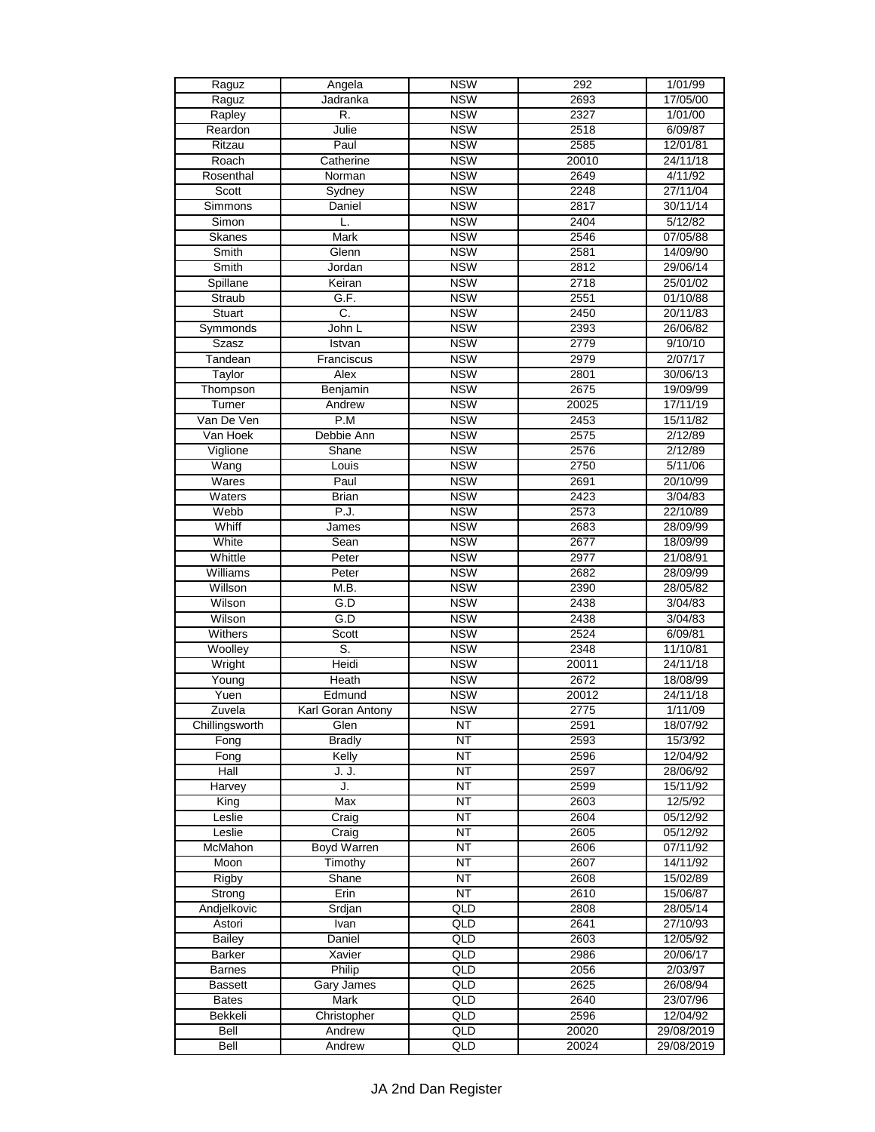| Raguz           | Angela            | <b>NSW</b>             | 292   | 1/01/99    |
|-----------------|-------------------|------------------------|-------|------------|
| Raguz           | Jadranka          | <b>NSW</b>             | 2693  | 17/05/00   |
| Rapley          | R.                | <b>NSW</b>             | 2327  | 1/01/00    |
| Reardon         | Julie             | <b>NSW</b>             | 2518  | 6/09/87    |
| Ritzau          | Paul              | <b>NSW</b>             | 2585  | 12/01/81   |
| Roach           | Catherine         | <b>NSW</b>             | 20010 | 24/11/18   |
| Rosenthal       | Norman            | <b>NSW</b>             | 2649  | 4/11/92    |
| Scott           | Sydney            | <b>NSW</b>             | 2248  | 27/11/04   |
| Simmons         | Daniel            | <b>NSW</b>             | 2817  | 30/11/14   |
| Simon           | L.                | <b>NSW</b>             | 2404  | 5/12/82    |
|                 |                   |                        |       |            |
| Skanes          | Mark              | <b>NSW</b>             | 2546  | 07/05/88   |
| Smith           | Glenn             | <b>NSW</b>             | 2581  | 14/09/90   |
| Smith           | Jordan            | <b>NSW</b>             | 2812  | 29/06/14   |
| Spillane        | Keiran            | <b>NSW</b>             | 2718  | 25/01/02   |
| Straub          | G.F.              | <b>NSW</b>             | 2551  | 01/10/88   |
| Stuart          | C.                | <b>NSW</b>             | 2450  | 20/11/83   |
| Symmonds        | John L            | <b>NSW</b>             | 2393  | 26/06/82   |
| Szasz           | Istvan            | <b>NSW</b>             | 2779  | 9/10/10    |
| Tandean         | Franciscus        | <b>NSW</b>             | 2979  | 2/07/17    |
| Taylor          | Alex              | <b>NSW</b>             | 2801  | 30/06/13   |
| Thompson        | Benjamin          | <b>NSW</b>             | 2675  | 19/09/99   |
| Turner          | Andrew            | <b>NSW</b>             | 20025 | 17/11/19   |
| Van De Ven      | P.M               | <b>NSW</b>             | 2453  | 15/11/82   |
| Van Hoek        | Debbie Ann        | <b>NSW</b>             | 2575  | 2/12/89    |
| Viglione        | Shane             | <b>NSW</b>             | 2576  | 2/12/89    |
| Wang            |                   | <b>NSW</b>             | 2750  |            |
|                 | Louis             |                        |       | 5/11/06    |
| Wares           | Paul              | <b>NSW</b>             | 2691  | 20/10/99   |
| Waters          | <b>Brian</b>      | <b>NSW</b>             | 2423  | 3/04/83    |
| Webb            | P.J.              | <b>NSW</b>             | 2573  | 22/10/89   |
| Whiff           | James             | <b>NSW</b>             | 2683  | 28/09/99   |
| White           | Sean              | <b>NSW</b>             | 2677  | 18/09/99   |
| Whittle         | Peter             | <b>NSW</b>             | 2977  | 21/08/91   |
| <b>Williams</b> | Peter             | <b>NSW</b>             | 2682  | 28/09/99   |
| Willson         | M.B.              | <b>NSW</b>             | 2390  | 28/05/82   |
| Wilson          | G.D               | <b>NSW</b>             | 2438  | 3/04/83    |
| Wilson          | $\overline{G.D}$  | <b>NSW</b>             | 2438  | 3/04/83    |
| Withers         | Scott             | <b>NSW</b>             | 2524  | 6/09/81    |
| Woolley         | S.                | <b>NSW</b>             | 2348  | 11/10/81   |
| Wright          | Heidi             | <b>NSW</b>             | 20011 | 24/11/18   |
| Young           | Heath             | <b>NSW</b>             | 2672  | 18/08/99   |
| Yuen            | Edmund            | <b>NSW</b>             | 20012 | 24/11/18   |
| Zuvela          | Karl Goran Antony | <b>NSW</b>             | 2775  | 1/11/09    |
| Chillingsworth  | Glen              | <b>NT</b>              | 2591  | 18/07/92   |
|                 |                   | <b>NT</b>              |       | 15/3/92    |
| Fong            | <b>Bradly</b>     |                        | 2593  |            |
| Fong            | Kelly             | <b>NT</b>              | 2596  | 12/04/92   |
| Hall            | J. J.             | <b>NT</b>              | 2597  | 28/06/92   |
| Harvey          | J.                | $\overline{\text{NT}}$ | 2599  | 15/11/92   |
| King            | Max               | $\overline{\text{NT}}$ | 2603  | 12/5/92    |
| Leslie          | Craig             | $\overline{\text{NT}}$ | 2604  | 05/12/92   |
| Leslie          | Craig             | <b>NT</b>              | 2605  | 05/12/92   |
| McMahon         | Boyd Warren       | <b>NT</b>              | 2606  | 07/11/92   |
| Moon            | Timothy           | <b>NT</b>              | 2607  | 14/11/92   |
| Rigby           | Shane             | $\overline{\text{NT}}$ | 2608  | 15/02/89   |
| Strong          | Erin              | $\overline{\text{NT}}$ | 2610  | 15/06/87   |
| Andjelkovic     | Srdjan            | QLD                    | 2808  | 28/05/14   |
| Astori          | Ivan              | QLD                    | 2641  | 27/10/93   |
| <b>Bailey</b>   | Daniel            | QLD                    | 2603  | 12/05/92   |
| <b>Barker</b>   | Xavier            | QLD                    | 2986  | 20/06/17   |
| <b>Barnes</b>   | Philip            | QLD                    | 2056  | 2/03/97    |
|                 | <b>Gary James</b> | QLD                    | 2625  |            |
| <b>Bassett</b>  |                   |                        |       | 26/08/94   |
| <b>Bates</b>    | Mark              | QLD                    | 2640  | 23/07/96   |
| Bekkeli         | Christopher       | QLD                    | 2596  | 12/04/92   |
| Bell            | Andrew            | QLD                    | 20020 | 29/08/2019 |
| Bell            | Andrew            | QLD                    | 20024 | 29/08/2019 |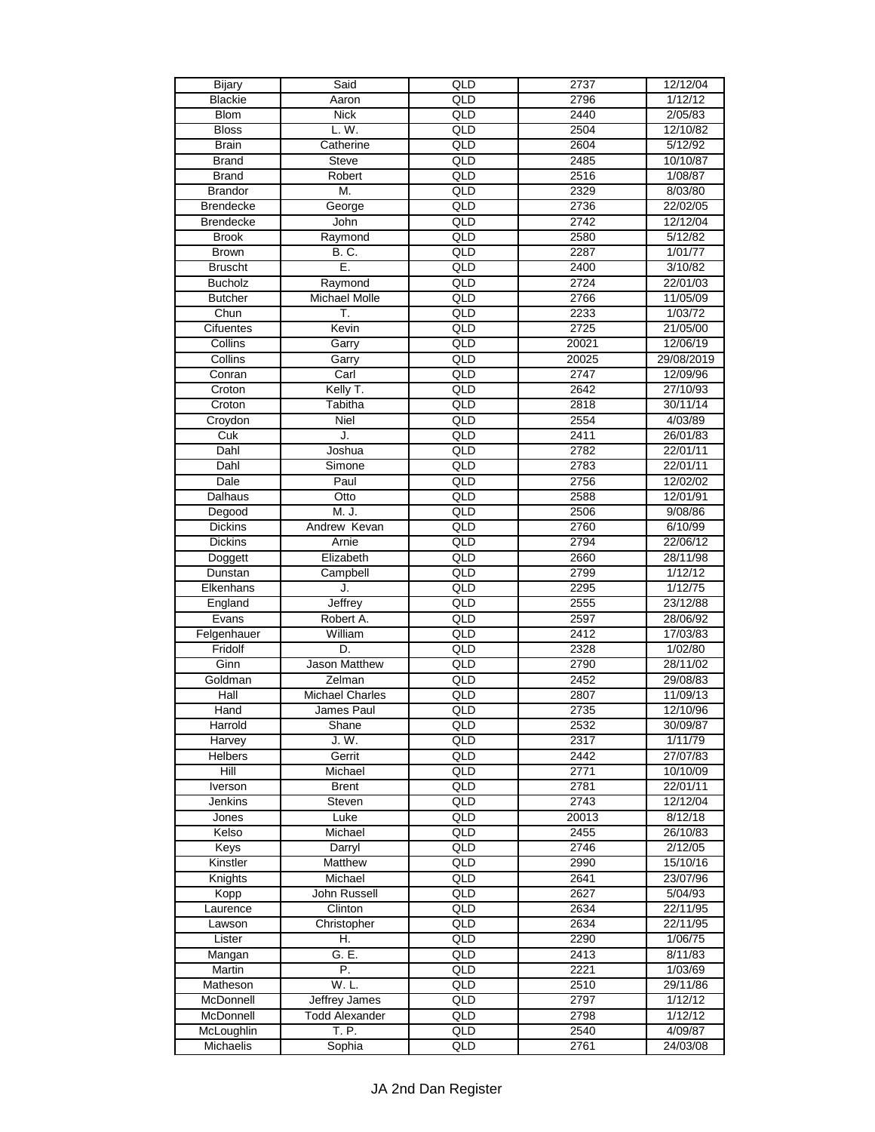| <b>Bijary</b>    | Said                   | QLD              | 2737  | 12/12/04   |
|------------------|------------------------|------------------|-------|------------|
| <b>Blackie</b>   | Aaron                  | QLD              | 2796  | 1/12/12    |
| <b>Blom</b>      | <b>Nick</b>            | $\overline{QLD}$ | 2440  | 2/05/83    |
| <b>Bloss</b>     | L. W.                  | QLD              | 2504  | 12/10/82   |
| <b>Brain</b>     | Catherine              | QLD              | 2604  | 5/12/92    |
| <b>Brand</b>     | <b>Steve</b>           | QLD              | 2485  | 10/10/87   |
| <b>Brand</b>     | Robert                 | QLD              | 2516  | 1/08/87    |
| <b>Brandor</b>   | М.                     | QLD              | 2329  | 8/03/80    |
|                  |                        | QLD              |       |            |
| <b>Brendecke</b> | George                 |                  | 2736  | 22/02/05   |
| <b>Brendecke</b> | John                   | $\frac{Q}{D}$    | 2742  | 12/12/04   |
| <b>Brook</b>     | Raymond                | QLD              | 2580  | 5/12/82    |
| <b>Brown</b>     | <b>B.C.</b>            | QLD              | 2287  | 1/01/77    |
| <b>Bruscht</b>   | Ē.                     | QLD              | 2400  | 3/10/82    |
| <b>Bucholz</b>   | Raymond                | QLD              | 2724  | 22/01/03   |
| <b>Butcher</b>   | <b>Michael Molle</b>   | QLD              | 2766  | 11/05/09   |
| Chun             | T.                     | QLD              | 2233  | 1/03/72    |
| Cifuentes        | Kevin                  | $\overline{QLD}$ | 2725  | 21/05/00   |
| Collins          | Garry                  | QLD              | 20021 | 12/06/19   |
| Collins          | Garry                  | QLD              | 20025 | 29/08/2019 |
| Conran           | Carl                   | QLD              | 2747  | 12/09/96   |
| Croton           | Kelly T.               | QLD              | 2642  | 27/10/93   |
| Croton           | Tabitha                | QLD              | 2818  | 30/11/14   |
| Croydon          | Niel                   | QLD              | 2554  | 4/03/89    |
| Cuk              | J.                     | QLD              | 2411  | 26/01/83   |
| Dahl             | Joshua                 | QLD              | 2782  |            |
|                  |                        |                  |       | 22/01/11   |
| Dahl             | Simone                 | $\overline{QLD}$ | 2783  | 22/01/11   |
| Dale             | Paul                   | QLD              | 2756  | 12/02/02   |
| Dalhaus          | Otto                   | QLD              | 2588  | 12/01/91   |
| Degood           | M. J.                  | QLD              | 2506  | 9/08/86    |
| <b>Dickins</b>   | Andrew Kevan           | $\overline{QLD}$ | 2760  | 6/10/99    |
| <b>Dickins</b>   | Arnie                  | QLD              | 2794  | 22/06/12   |
| Doggett          | Elizabeth              | QLD              | 2660  | 28/11/98   |
| Dunstan          | Campbell               | QLD              | 2799  | 1/12/12    |
| Elkenhans        | J.                     | QLD              | 2295  | 1/12/75    |
| England          | Jeffrey                | QLD              | 2555  | 23/12/88   |
| Evans            | Robert A.              | QLD              | 2597  | 28/06/92   |
| Felgenhauer      | William                | QLD              | 2412  | 17/03/83   |
| Fridolf          | D.                     | QLD              | 2328  | 1/02/80    |
| Ginn             | Jason Matthew          | QLD              | 2790  | 28/11/02   |
| Goldman          | Zelman                 | $\overline{QLD}$ | 2452  | 29/08/83   |
| Hall             | <b>Michael Charles</b> | QLD              | 2807  | 11/09/13   |
| Hand             | James Paul             | QLD              | 2735  | 12/10/96   |
|                  |                        |                  |       |            |
| Harrold          | Shane                  | QLD              | 2532  | 30/09/87   |
| Harvey           | J.W.                   | QLD              | 2317  | 1/11/79    |
| <b>Helbers</b>   | Gerrit                 | QLD              | 2442  | 27/07/83   |
| Hill             | Michael                | QLD              | 2771  | 10/10/09   |
| Iverson          | <b>Brent</b>           | QLD              | 2781  | 22/01/11   |
| Jenkins          | Steven                 | QLD              | 2743  | 12/12/04   |
| Jones            | Luke                   | QLD              | 20013 | 8/12/18    |
| Kelso            | Michael                | QLD              | 2455  | 26/10/83   |
| Keys             | Darryl                 | QLD              | 2746  | 2/12/05    |
| Kinstler         | Matthew                | QLD              | 2990  | 15/10/16   |
| Knights          | Michael                | QLD              | 2641  | 23/07/96   |
| Kopp             | John Russell           | QLD              | 2627  | 5/04/93    |
| Laurence         | Clinton                | QLD              | 2634  | 22/11/95   |
| Lawson           | Christopher            | QLD              | 2634  | 22/11/95   |
| Lister           | Η.                     | QLD              | 2290  | 1/06/75    |
| Mangan           | G.E.                   | QLD              | 2413  | 8/11/83    |
| Martin           | P.                     | QLD              | 2221  | 1/03/69    |
|                  |                        |                  |       |            |
| Matheson         | W.L.                   | QLD              | 2510  | 29/11/86   |
| McDonnell        | <b>Jeffrey James</b>   | QLD              | 2797  | 1/12/12    |
| McDonnell        | <b>Todd Alexander</b>  | QLD              | 2798  | 1/12/12    |
| McLoughlin       | T. P.                  | QLD              | 2540  | 4/09/87    |
| Michaelis        | Sophia                 | QLD              | 2761  | 24/03/08   |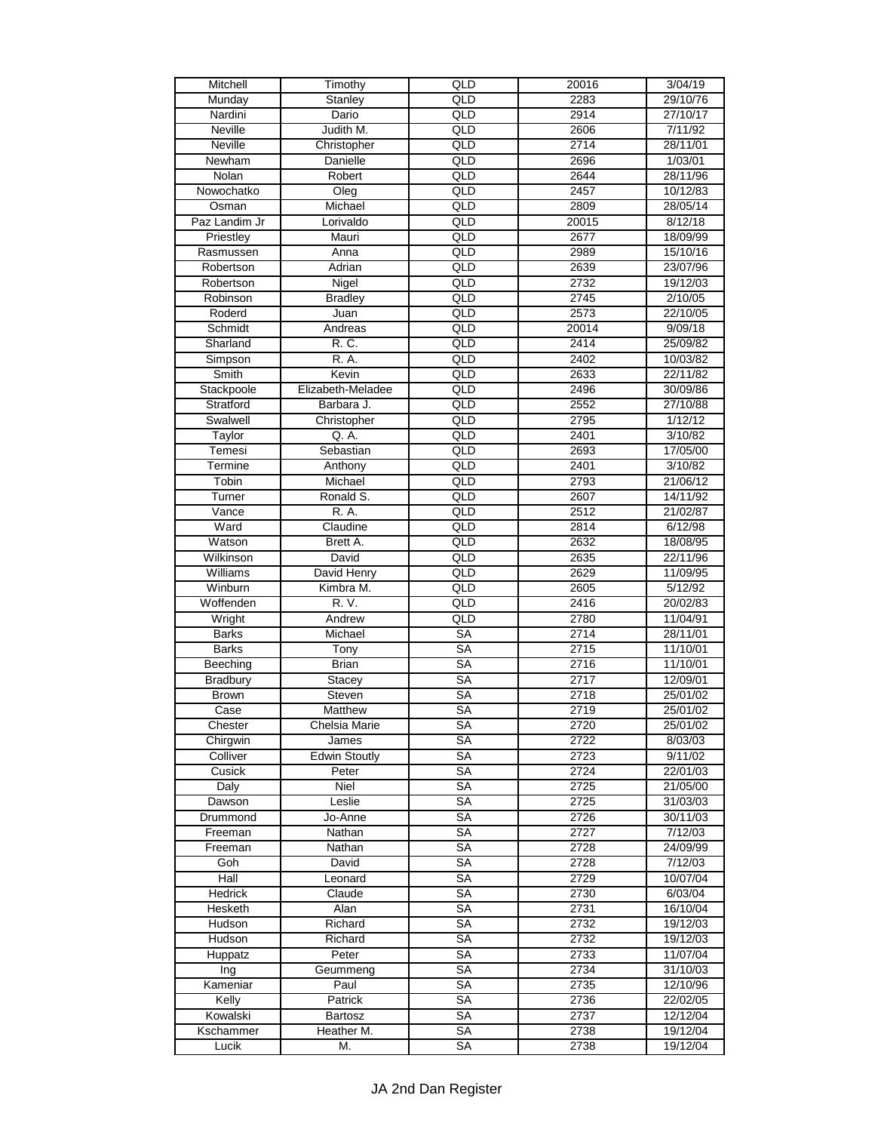| Mitchell        | Timothy              | QLD              | 20016 | 3/04/19  |
|-----------------|----------------------|------------------|-------|----------|
| Munday          | Stanley              | QLD              | 2283  | 29/10/76 |
| Nardini         | Dario                | $\overline{QLD}$ | 2914  | 27/10/17 |
| <b>Neville</b>  | Judith M.            | QLD              | 2606  | 7/11/92  |
| <b>Neville</b>  | Christopher          | QLD              | 2714  | 28/11/01 |
| Newham          | <b>Danielle</b>      | QLD              | 2696  | 1/03/01  |
| Nolan           | Robert               | QLD              | 2644  | 28/11/96 |
| Nowochatko      | Oleg                 | QLD              | 2457  | 10/12/83 |
| Osman           | Michael              | QLD              | 2809  | 28/05/14 |
| Paz Landim Jr   | Lorivaldo            | QLD              | 20015 | 8/12/18  |
|                 |                      | QLD              | 2677  |          |
| Priestley       | Mauri                |                  |       | 18/09/99 |
| Rasmussen       | Anna                 | $\overline{QLD}$ | 2989  | 15/10/16 |
| Robertson       | Adrian               | QLD              | 2639  | 23/07/96 |
| Robertson       | Nigel                | QLD              | 2732  | 19/12/03 |
| Robinson        | <b>Bradley</b>       | $\frac{Q}{D}$    | 2745  | 2/10/05  |
| Roderd          | Juan                 | $\overline{QLD}$ | 2573  | 22/10/05 |
| Schmidt         | Andreas              | $\overline{QLD}$ | 20014 | 9/09/18  |
| Sharland        | R. C.                | QLD              | 2414  | 25/09/82 |
| Simpson         | R. A.                | QLD              | 2402  | 10/03/82 |
| Smith           | Kevin                | QLD              | 2633  | 22/11/82 |
| Stackpoole      | Elizabeth-Meladee    | QLD              | 2496  | 30/09/86 |
| Stratford       | Barbara J.           | QLD              | 2552  | 27/10/88 |
| Swalwell        | Christopher          | QLD              | 2795  | 1/12/12  |
| Taylor          | Q. A.                | QLD              | 2401  | 3/10/82  |
| Temesi          | Sebastian            | QLD              | 2693  | 17/05/00 |
| Termine         | Anthony              | $\overline{QLD}$ | 2401  | 3/10/82  |
| Tobin           | Michael              | QLD              | 2793  | 21/06/12 |
| Turner          | Ronald S.            | QLD              | 2607  | 14/11/92 |
| Vance           | R. A.                | QLD              | 2512  | 21/02/87 |
|                 |                      |                  |       |          |
| Ward            | Claudine             | QLD              | 2814  | 6/12/98  |
| Watson          | Brett A.             | QLD              | 2632  | 18/08/95 |
| Wilkinson       | David                | QLD              | 2635  | 22/11/96 |
| <b>Williams</b> | David Henry          | QLD              | 2629  | 11/09/95 |
| Winburn         | Kimbra M.            | QLD              | 2605  | 5/12/92  |
| Woffenden       | R. V.                | QLD              | 2416  | 20/02/83 |
| Wright          | Andrew               | QLD              | 2780  | 11/04/91 |
| <b>Barks</b>    | Michael              | <b>SA</b>        | 2714  | 28/11/01 |
| <b>Barks</b>    | Tony                 | <b>SA</b>        | 2715  | 11/10/01 |
| Beeching        | <b>Brian</b>         | SA               | 2716  | 11/10/01 |
| <b>Bradbury</b> | Stacey               | <b>SA</b>        | 2717  | 12/09/01 |
| <b>Brown</b>    | <b>Steven</b>        | <b>SA</b>        | 2718  | 25/01/02 |
| Case            | <b>Matthew</b>       | <b>SA</b>        | 2719  | 25/01/02 |
| Chester         | Chelsia Marie        | SA               | 2720  | 25/01/02 |
| Chirgwin        | James                | <b>SA</b>        | 2722  | 8/03/03  |
| Colliver        | <b>Edwin Stoutly</b> | <b>SA</b>        | 2723  | 9/11/02  |
| Cusick          | Peter                | SA               | 2724  | 22/01/03 |
| Daly            | Niel                 | SA               | 2725  | 21/05/00 |
| Dawson          | Leslie               | <b>SA</b>        | 2725  | 31/03/03 |
| Drummond        | Jo-Anne              | SA               | 2726  | 30/11/03 |
| Freeman         | Nathan               | SA               | 2727  | 7/12/03  |
| Freeman         |                      | SA               |       | 24/09/99 |
|                 | Nathan               | <b>SA</b>        | 2728  | 7/12/03  |
| Goh             | David                |                  | 2728  |          |
| Hall            | Leonard              | <b>SA</b>        | 2729  | 10/07/04 |
| Hedrick         | Claude               | <b>SA</b>        | 2730  | 6/03/04  |
| Hesketh         | Alan                 | <b>SA</b>        | 2731  | 16/10/04 |
| Hudson          | Richard              | <b>SA</b>        | 2732  | 19/12/03 |
| Hudson          | Richard              | SA               | 2732  | 19/12/03 |
| Huppatz         | Peter                | <b>SA</b>        | 2733  | 11/07/04 |
| Ing             | Geummeng             | SA               | 2734  | 31/10/03 |
| Kameniar        | Paul                 | SA               | 2735  | 12/10/96 |
| Kelly           | Patrick              | <b>SA</b>        | 2736  | 22/02/05 |
| Kowalski        | Bartosz              | <b>SA</b>        | 2737  | 12/12/04 |
| Kschammer       | Heather M.           | SA               | 2738  | 19/12/04 |
| Lucik           | M.                   | SA               | 2738  | 19/12/04 |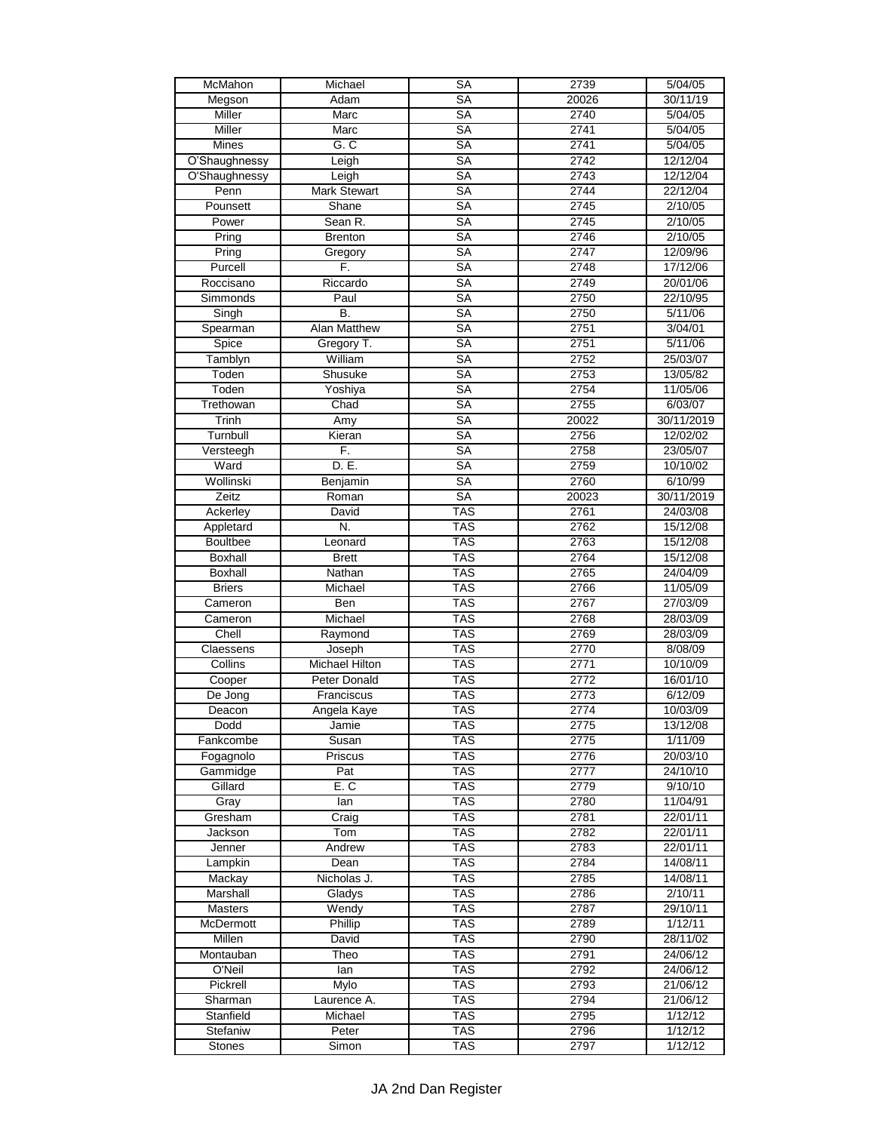| McMahon          | Michael               | <b>SA</b>              | 2739         | 5/04/05    |
|------------------|-----------------------|------------------------|--------------|------------|
| Megson           | Adam                  | <b>SA</b>              | 20026        | 30/11/19   |
| Miller           | Marc                  | <b>SA</b>              | 2740         | 5/04/05    |
| Miller           | Marc                  | SA                     | 2741         | 5/04/05    |
| Mines            | G. C                  | <b>SA</b>              | 2741         | 5/04/05    |
| O'Shaughnessy    | Leigh                 | <b>SA</b>              | 2742         | 12/12/04   |
| O'Shaughnessy    | Leigh                 | <b>SA</b>              | 2743         | 12/12/04   |
| Penn             | <b>Mark Stewart</b>   | <b>SA</b>              | 2744         | 22/12/04   |
| Pounsett         | Shane                 | <b>SA</b>              | 2745         | 2/10/05    |
| Power            | Sean R.               | <b>SA</b>              | 2745         | 2/10/05    |
| Pring            | <b>Brenton</b>        | <b>SA</b>              | 2746         | 2/10/05    |
| Pring            | Gregory               | <b>SA</b>              | 2747         | 12/09/96   |
| Purcell          | F.                    | <b>SA</b>              | 2748         | 17/12/06   |
| Roccisano        | Riccardo              | <b>SA</b>              | 2749         | 20/01/06   |
| Simmonds         | Paul                  | <b>SA</b>              | 2750         | 22/10/95   |
| Singh            | B.                    | <b>SA</b>              | 2750         | 5/11/06    |
| Spearman         | <b>Alan Matthew</b>   | $\overline{\text{SA}}$ | 2751         | 3/04/01    |
| Spice            | Gregory T.            | <b>SA</b>              | 2751         | 5/11/06    |
|                  | William               | <b>SA</b>              |              |            |
| Tamblyn<br>Toden | Shusuke               | SA                     | 2752<br>2753 | 25/03/07   |
|                  |                       |                        |              | 13/05/82   |
| Toden            | Yoshiya               | <b>SA</b>              | 2754         | 11/05/06   |
| Trethowan        | Chad                  | <b>SA</b>              | 2755         | 6/03/07    |
| Trinh            | Amy                   | <b>SA</b>              | 20022        | 30/11/2019 |
| Turnbull         | Kieran                | <b>SA</b>              | 2756         | 12/02/02   |
| Versteegh        | F.                    | <b>SA</b>              | 2758         | 23/05/07   |
| Ward             | D. E.                 | $\overline{\text{SA}}$ | 2759         | 10/10/02   |
| Wollinski        | Benjamin              | <b>SA</b>              | 2760         | 6/10/99    |
| Zeitz            | Roman                 | <b>SA</b>              | 20023        | 30/11/2019 |
| Ackerley         | David                 | <b>TAS</b>             | 2761         | 24/03/08   |
| Appletard        | N.                    | <b>TAS</b>             | 2762         | 15/12/08   |
| <b>Boultbee</b>  | Leonard               | <b>TAS</b>             | 2763         | 15/12/08   |
| Boxhall          | Brett                 | <b>TAS</b>             | 2764         | 15/12/08   |
| <b>Boxhall</b>   | Nathan                | <b>TAS</b>             | 2765         | 24/04/09   |
| <b>Briers</b>    | Michael               | <b>TAS</b>             | 2766         | 11/05/09   |
| Cameron          | Ben                   | <b>TAS</b>             | 2767         | 27/03/09   |
| Cameron          | Michael               | <b>TAS</b>             | 2768         | 28/03/09   |
| Chell            | Raymond               | <b>TAS</b>             | 2769         | 28/03/09   |
| Claessens        | Joseph                | <b>TAS</b>             | 2770         | 8/08/09    |
| Collins          | <b>Michael Hilton</b> | <b>TAS</b>             | 2771         | 10/10/09   |
| Cooper           | Peter Donald          | <b>TAS</b>             | 2772         | 16/01/10   |
| De Jong          | Franciscus            | <b>TAS</b>             | 2773         | 6/12/09    |
| Deacon           | Angela Kaye           | <b>TAS</b>             | 2774         | 10/03/09   |
| Dodd             | Jamie                 | <b>TAS</b>             | 2775         | 13/12/08   |
| Fankcombe        | Susan                 | <b>TAS</b>             | 2775         | 1/11/09    |
| Fogagnolo        | Priscus               | <b>TAS</b>             | 2776         | 20/03/10   |
| Gammidge         | Pat                   | TAS                    | 2777         | 24/10/10   |
| Gillard          | E.C                   | <b>TAS</b>             | 2779         | 9/10/10    |
| Gray             | lan                   | <b>TAS</b>             | 2780         | 11/04/91   |
| Gresham          | Craig                 | <b>TAS</b>             | 2781         | 22/01/11   |
| Jackson          | Tom                   | <b>TAS</b>             | 2782         | 22/01/11   |
| Jenner           | Andrew                | <b>TAS</b>             | 2783         | 22/01/11   |
| Lampkin          | Dean                  | <b>TAS</b>             | 2784         | 14/08/11   |
| Mackay           | Nicholas J.           | <b>TAS</b>             | 2785         | 14/08/11   |
| Marshall         | Gladys                | <b>TAS</b>             | 2786         | 2/10/11    |
| Masters          | Wendy                 | <b>TAS</b>             | 2787         | 29/10/11   |
| McDermott        | <b>Phillip</b>        | <b>TAS</b>             | 2789         | 1/12/11    |
| Millen           | David                 | <b>TAS</b>             | 2790         | 28/11/02   |
| Montauban        | Theo                  | <b>TAS</b>             | 2791         | 24/06/12   |
|                  |                       |                        |              |            |
| O'Neil           | lan                   | TAS<br><b>TAS</b>      | 2792         | 24/06/12   |
| Pickrell         | Mylo                  |                        | 2793         | 21/06/12   |
| Sharman          | Laurence A.           | <b>TAS</b>             | 2794         | 21/06/12   |
| Stanfield        | Michael               | <b>TAS</b>             | 2795         | 1/12/12    |
| Stefaniw         | Peter                 | <b>TAS</b>             | 2796         | 1/12/12    |
| <b>Stones</b>    | Simon                 | <b>TAS</b>             | 2797         | 1/12/12    |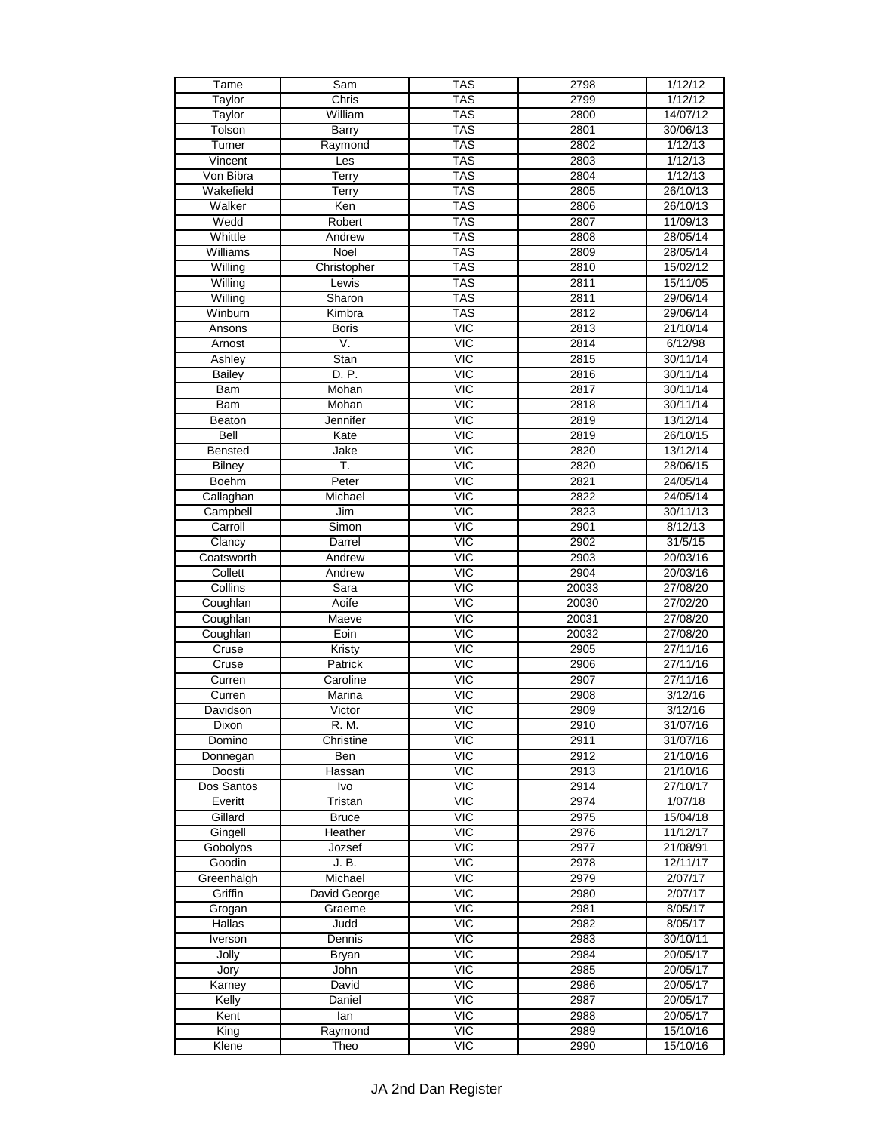| Tame          | Sam          | <b>TAS</b>              | 2798  | 1/12/12              |
|---------------|--------------|-------------------------|-------|----------------------|
| Taylor        | Chris        | <b>TAS</b>              | 2799  | 1/12/12              |
| Taylor        | William      | <b>TAS</b>              | 2800  | 14/07/12             |
| Tolson        | Barry        | <b>TAS</b>              | 2801  | 30/06/13             |
| Turner        | Raymond      | <b>TAS</b>              | 2802  | 1/12/13              |
| Vincent       | Les          | <b>TAS</b>              | 2803  | 1/12/13              |
| Von Bibra     | Terry        | <b>TAS</b>              | 2804  | 1/12/13              |
| Wakefield     | Terry        | <b>TAS</b>              | 2805  | 26/10/13             |
| Walker        | Ken          | <b>TAS</b>              | 2806  | 26/10/13             |
| Wedd          | Robert       | <b>TAS</b>              | 2807  | 11/09/13             |
| Whittle       | Andrew       | <b>TAS</b>              | 2808  | 28/05/14             |
| Williams      | Noel         | <b>TAS</b>              | 2809  | 28/05/14             |
| Willing       | Christopher  | <b>TAS</b>              | 2810  | 15/02/12             |
| Willing       | Lewis        | <b>TAS</b>              | 2811  | 15/11/05             |
| Willing       | Sharon       | <b>TAS</b>              | 2811  | 29/06/14             |
| Winburn       | Kimbra       | <b>TAS</b>              | 2812  | 29/06/14             |
| Ansons        | <b>Boris</b> | <b>VIC</b>              | 2813  | 21/10/14             |
| Arnost        | V.           | $\overline{\text{VIC}}$ | 2814  | 6/12/98              |
|               |              | VIC                     |       |                      |
| Ashley        | Stan         |                         | 2815  | 30/11/14<br>30/11/14 |
| <b>Bailey</b> | D. P.        | $\overline{MC}$         | 2816  |                      |
| <b>Bam</b>    | Mohan        | $\overline{VC}$         | 2817  | 30/11/14             |
| <b>Bam</b>    | Mohan        | <b>VIC</b>              | 2818  | 30/11/14             |
| Beaton        | Jennifer     | VIC                     | 2819  | 13/12/14             |
| Bell          | Kate         | <b>VIC</b>              | 2819  | 26/10/15             |
| Bensted       | Jake         | $\overline{VC}$         | 2820  | 13/12/14             |
| <b>Bilney</b> | Ŧ.           | <b>VIC</b>              | 2820  | 28/06/15             |
| <b>Boehm</b>  | Peter        | $\overline{MC}$         | 2821  | 24/05/14             |
| Callaghan     | Michael      | $\overline{\text{VIC}}$ | 2822  | 24/05/14             |
| Campbell      | Jim          | VIC                     | 2823  | 30/11/13             |
| Carroll       | Simon        | <b>VIC</b>              | 2901  | 8/12/13              |
| Clancy        | Darrel       | $\overline{VIC}$        | 2902  | 31/5/15              |
| Coatsworth    | Andrew       | $\overline{VC}$         | 2903  | 20/03/16             |
| Collett       | Andrew       | VIC                     | 2904  | 20/03/16             |
| Collins       | Sara         | <b>VIC</b>              | 20033 | 27/08/20             |
| Coughlan      | Aoife        | <b>VIC</b>              | 20030 | 27/02/20             |
| Coughlan      | Maeve        | $\overline{MC}$         | 20031 | 27/08/20             |
| Coughlan      | Eoin         | <b>VIC</b>              | 20032 | 27/08/20             |
| Cruse         | Kristy       | <b>VIC</b>              | 2905  | 27/11/16             |
| Cruse         | Patrick      | $\overline{\text{VIC}}$ | 2906  | 27/11/16             |
| Curren        | Caroline     | <b>VIC</b>              | 2907  | 27/11/16             |
| Curren        | Marina       | $\overline{\text{VIC}}$ | 2908  | 3/12/16              |
| Davidson      | Victor       | $\overline{MC}$         | 2909  | 3/12/16              |
| Dixon         | R. M.        | <b>VIC</b>              | 2910  | 31/07/16             |
| Domino        | Christine    | $\overline{MC}$         | 2911  | 31/07/16             |
| Donnegan      | Ben          | $\overline{MC}$         | 2912  | 21/10/16             |
| Doosti        | Hassan       | $\overline{MC}$         | 2913  | 21/10/16             |
| Dos Santos    | Ivo          | $\overline{\text{VIC}}$ | 2914  | 27/10/17             |
| Everitt       | Tristan      | <b>VIC</b>              | 2974  | 1/07/18              |
| Gillard       | <b>Bruce</b> | $\overline{MC}$         | 2975  | 15/04/18             |
| Gingell       | Heather      | $\overline{MC}$         | 2976  | 11/12/17             |
| Gobolyos      | Jozsef       | <b>VIC</b>              | 2977  | 21/08/91             |
| Goodin        | J. B.        | <b>VIC</b>              | 2978  | 12/11/17             |
| Greenhalgh    | Michael      | $\overline{MC}$         | 2979  | 2/07/17              |
| Griffin       | David George | $\overline{\text{VIC}}$ | 2980  | 2/07/17              |
| Grogan        | Graeme       | $\overline{\text{VIC}}$ | 2981  | 8/05/17              |
| <b>Hallas</b> | Judd         | VIC                     | 2982  | 8/05/17              |
| Iverson       | Dennis       | $\overline{MC}$         | 2983  | 30/10/11             |
| Jolly         | <b>Bryan</b> | <b>VIC</b>              | 2984  | 20/05/17             |
| Jory          | John         | <b>VIC</b>              | 2985  | 20/05/17             |
| Karney        | David        | $\overline{\text{C}}$   | 2986  | 20/05/17             |
| Kelly         | Daniel       | $\overline{MC}$         | 2987  | 20/05/17             |
| Kent          | lan          | <b>VIC</b>              | 2988  | 20/05/17             |
| King          | Raymond      | $\overline{MC}$         | 2989  | 15/10/16             |
| Klene         | Theo         | $\overline{\text{VIC}}$ | 2990  | 15/10/16             |
|               |              |                         |       |                      |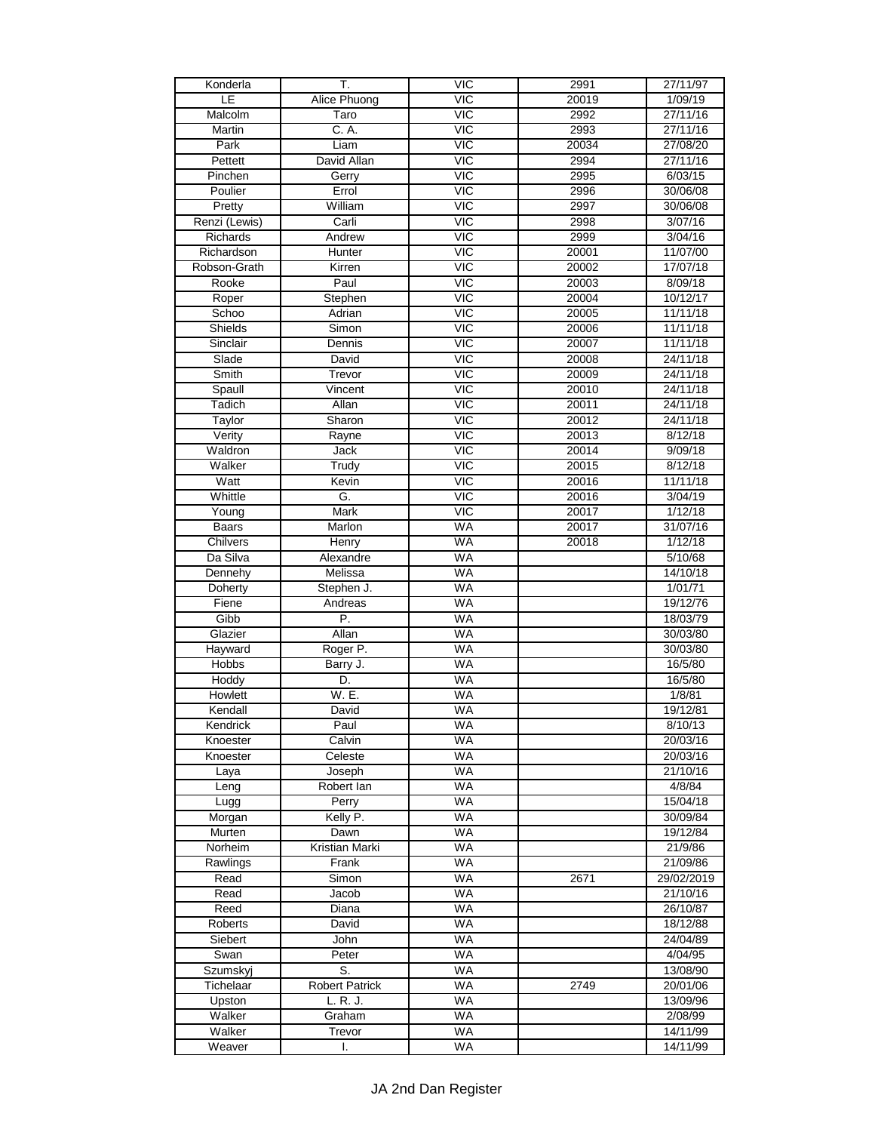| Konderla                 | T.                                | $\overline{MC}$         | 2991           | 27/11/97             |
|--------------------------|-----------------------------------|-------------------------|----------------|----------------------|
| ΙE                       | Alice Phuong                      | VIC                     | 20019          | 1/09/19              |
| Malcolm                  | Taro                              | <b>VIC</b>              | 2992           | 27/11/16             |
| Martin                   | C. A.                             | $\overline{MC}$         | 2993           | 27/11/16             |
| Park                     | Liam                              | $\overline{MC}$         | 20034          | 27/08/20             |
| Pettett                  | David Allan                       | VIC                     | 2994           | 27/11/16             |
| Pinchen                  | Gerry                             | <b>VIC</b>              | 2995           | 6/03/15              |
| Poulier                  | Errol                             | <b>VIC</b>              | 2996           | 30/06/08             |
| Pretty                   | William                           | $\overline{MC}$         | 2997           | 30/06/08             |
| Renzi (Lewis)            | Carli                             | VIC                     | 2998           | 3/07/16              |
| Richards                 | Andrew                            | <b>VIC</b>              | 2999           | 3/04/16              |
| Richardson               | Hunter                            | <b>VIC</b>              | 20001          | 11/07/00             |
| Robson-Grath             | Kirren                            | $\overline{MC}$         | 20002          | 17/07/18             |
| Rooke                    | Paul                              | $\overline{MC}$         | 20003          | 8/09/18              |
| Roper                    | Stephen                           | $\overline{\text{VIC}}$ | 20004          | 10/12/17             |
| Schoo                    | Adrian                            | $\overline{MC}$         | 20005          | 11/11/18             |
| Shields                  | Simon                             | <b>VIC</b>              | 20006          | 11/11/18             |
| Sinclair                 | Dennis                            | $\overline{MC}$         | 20007          | 11/11/18             |
| Slade                    | David                             | $\overline{\text{VIC}}$ | 20008          | 24/11/18             |
| Smith                    | Trevor                            | <b>VIC</b>              | 20009          | 24/11/18             |
| Spaull                   | Vincent                           | $\overline{MC}$         | 20010          | 24/11/18             |
| Tadich                   | Allan                             | $\overline{MC}$         | 20011          | 24/11/18             |
| Taylor                   | Sharon                            | <b>VIC</b>              | 20012          | 24/11/18             |
| Verity                   | Rayne                             | <b>VIC</b>              | 20013          | 8/12/18              |
| Waldron                  | <b>Jack</b>                       | $\overline{VIC}$        | 20014          | 9/09/18              |
| Walker                   | Trudy                             | <b>VIC</b>              | 20015          | 8/12/18              |
| Watt                     | Kevin                             | $\overline{MC}$         | 20016          | 11/11/18             |
|                          | G.                                | $\overline{\text{VIC}}$ |                |                      |
| Whittle<br>Young         | Mark                              | <b>VIC</b>              | 20016<br>20017 | 3/04/19<br>1/12/18   |
|                          | Marlon                            | <b>WA</b>               |                |                      |
| <b>Baars</b><br>Chilvers |                                   | <b>WA</b>               | 20017          | 31/07/16             |
| Da Silva                 | Henry                             | <b>WA</b>               | 20018          | 1/12/18              |
|                          | Alexandre<br>Melissa              | <b>WA</b>               |                | 5/10/68              |
| Dennehy                  |                                   | <b>WA</b>               |                | 14/10/18             |
| Doherty<br>Fiene         | Stephen J.                        | <b>WA</b>               |                | 1/01/71<br>19/12/76  |
|                          | Andreas<br>P.                     |                         |                |                      |
| Gibb                     | Allan                             | <b>WA</b><br><b>WA</b>  |                | 18/03/79             |
| Glazier<br>Hayward       |                                   | <b>WA</b>               |                | 30/03/80             |
| <b>Hobbs</b>             | Roger P.<br>Barry J.              | <b>WA</b>               |                | 30/03/80             |
|                          | D.                                | <b>WA</b>               |                | 16/5/80<br>16/5/80   |
| Hoddy                    | W. E.                             | <b>WA</b>               |                |                      |
| Howlett<br>Kendall       | David                             | <b>WA</b>               |                | 1/8/81<br>19/12/81   |
| Kendrick                 | Paul                              | WA                      |                | 8/10/13              |
|                          |                                   | <b>WA</b>               |                |                      |
| Knoester<br>Knoester     | Calvin<br>Celeste                 | <b>WA</b>               |                | 20/03/16<br>20/03/16 |
|                          |                                   | <b>WA</b>               |                |                      |
| Laya<br>Leng             | Joseph<br>Robert lan              | <b>WA</b>               |                | 21/10/16<br>4/8/84   |
|                          | Perry                             | <b>WA</b>               |                | 15/04/18             |
| Lugg                     | Kelly P.                          | <b>WA</b>               |                | 30/09/84             |
| Morgan<br>Murten         | Dawn                              | WA                      |                | 19/12/84             |
| Norheim                  | Kristian Marki                    | <b>WA</b>               |                | 21/9/86              |
| Rawlings                 | Frank                             | <b>WA</b>               |                | 21/09/86             |
| Read                     | Simon                             | <b>WA</b>               | 2671           | 29/02/2019           |
| Read                     | Jacob                             | <b>WA</b>               |                | 21/10/16             |
| Reed                     | Diana                             | <b>WA</b>               |                | 26/10/87             |
| Roberts                  | David                             | <b>WA</b>               |                | 18/12/88             |
| Siebert                  | John                              | <b>WA</b>               |                | 24/04/89             |
| Swan                     | Peter                             | <b>WA</b>               |                | 4/04/95              |
|                          | S.                                | WA                      |                |                      |
| Szumskyj                 |                                   | <b>WA</b>               | 2749           | 13/08/90             |
| Tichelaar                | <b>Robert Patrick</b><br>L. R. J. | <b>WA</b>               |                | 20/01/06             |
| Upston                   |                                   | <b>WA</b>               |                | 13/09/96             |
| Walker                   | Graham                            | WA                      |                | 2/08/99<br>14/11/99  |
| Walker                   | Trevor                            |                         |                |                      |
| Weaver                   | I.                                | <b>WA</b>               |                | 14/11/99             |